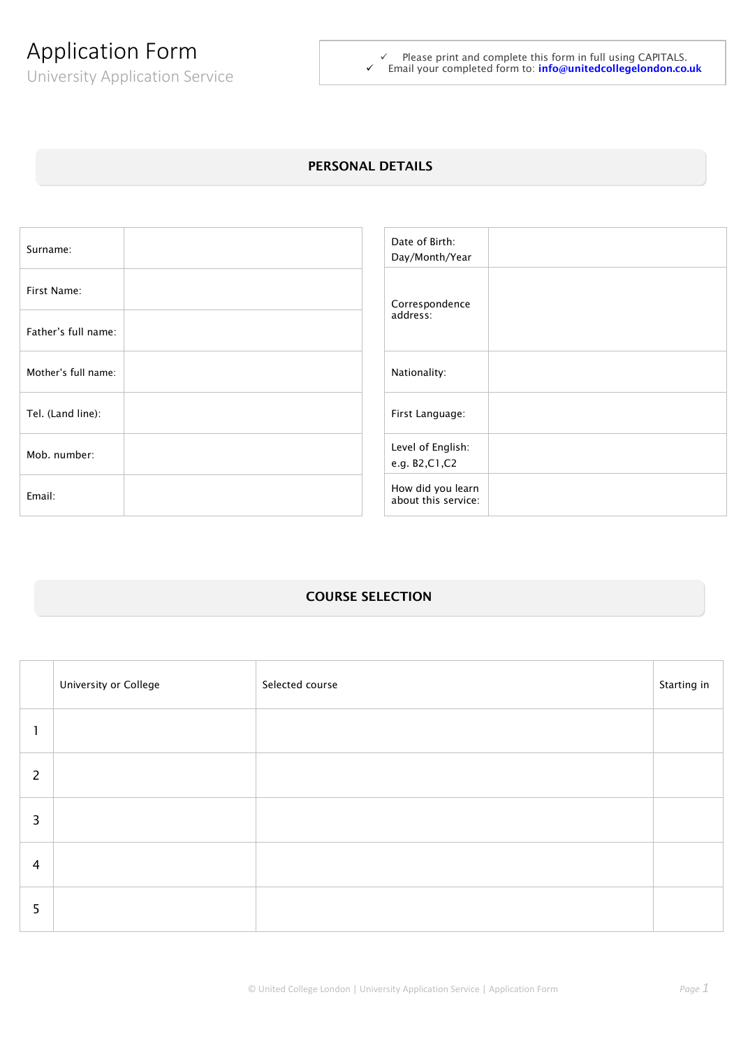# Application Form

University Application Service

 $\checkmark$  Please print and complete this form in full using CAPITALS. Email your completed form to: **info@[unitedcollegelondon.co.uk](mailto:info@unitedcollegelondon.co.uk)**

## **PERSONAL DETAILS**

| Surname:            | Date of Birth:<br>Day/Month/Year         |
|---------------------|------------------------------------------|
| First Name:         | Correspondence                           |
| Father's full name: | address:                                 |
| Mother's full name: | Nationality:                             |
| Tel. (Land line):   | First Language:                          |
| Mob. number:        | Level of English:<br>e.g. B2,C1,C2       |
| Email:              | How did you learn<br>about this service: |

# **COURSE SELECTION**

|                | University or College | Selected course | Starting in |
|----------------|-----------------------|-----------------|-------------|
|                |                       |                 |             |
| $\overline{2}$ |                       |                 |             |
| 3              |                       |                 |             |
| 4              |                       |                 |             |
| 5 <sup>5</sup> |                       |                 |             |